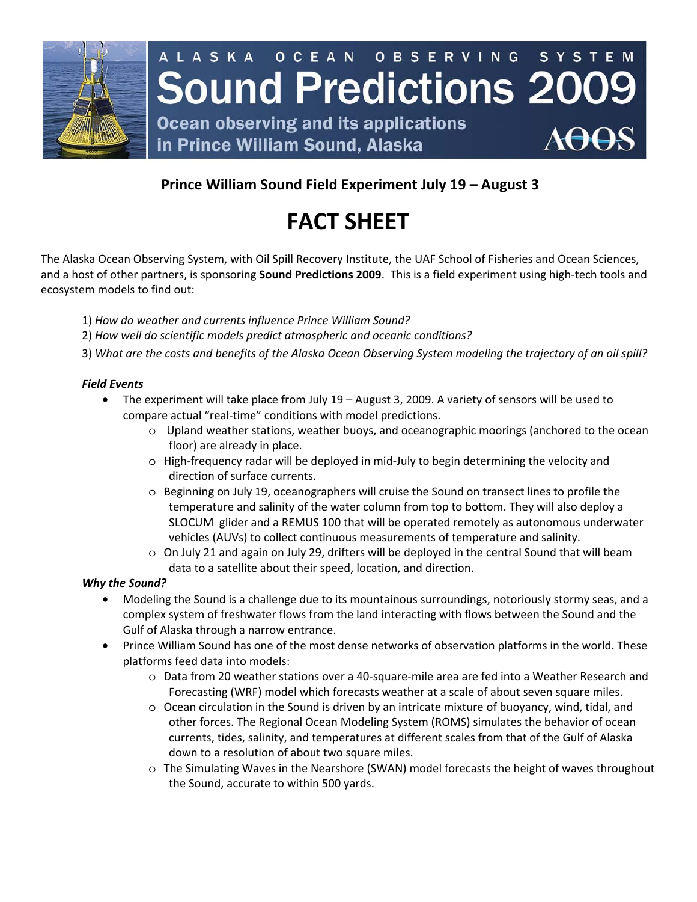

# **Prince William Sound Field Experiment July 19 – August 3**

# **FACT SHEET**

The Alaska Ocean Observing System, with Oil Spill Recovery Institute, the UAF School of Fisheries and Ocean Sciences, and a host of other partners, is sponsoring **Sound Predictions 2009**. This is a field experiment using high-tech tools and ecosystem models to find out:

- 1) *How do weather and currents influence Prince William Sound?*
- 2) *How well do scientific models predict atmospheric and oceanic conditions?*
- 3) *What are the costs and benefits of the Alaska Ocean Observing System modeling the trajectory of an oil spill?*

### *Field Events*

- The experiment will take place from July 19 August 3, 2009. A variety of sensors will be used to compare actual "real-time" conditions with model predictions.
	- o Upland weather stations, weather buoys, and oceanographic moorings (anchored to the ocean floor) are already in place.
	- o High-frequency radar will be deployed in mid-July to begin determining the velocity and direction of surface currents.
	- o Beginning on July 19, oceanographers will cruise the Sound on transect lines to profile the temperature and salinity of the water column from top to bottom. They will also deploy a SLOCUM glider and a REMUS 100 that will be operated remotely as autonomous underwater vehicles (AUVs) to collect continuous measurements of temperature and salinity.
	- o On July 21 and again on July 29, drifters will be deployed in the central Sound that will beam data to a satellite about their speed, location, and direction.

#### *Why the Sound?*

- Modeling the Sound is a challenge due to its mountainous surroundings, notoriously stormy seas, and a complex system of freshwater flows from the land interacting with flows between the Sound and the Gulf of Alaska through a narrow entrance.
- Prince William Sound has one of the most dense networks of observation platforms in the world. These platforms feed data into models:
	- o Data from 20 weather stations over a 40-square-mile area are fed into a Weather Research and Forecasting (WRF) model which forecasts weather at a scale of about seven square miles.
	- o Ocean circulation in the Sound is driven by an intricate mixture of buoyancy, wind, tidal, and other forces. The Regional Ocean Modeling System (ROMS) simulates the behavior of ocean currents, tides, salinity, and temperatures at different scales from that of the Gulf of Alaska down to a resolution of about two square miles.
	- o The Simulating Waves in the Nearshore (SWAN) model forecasts the height of waves throughout the Sound, accurate to within 500 yards.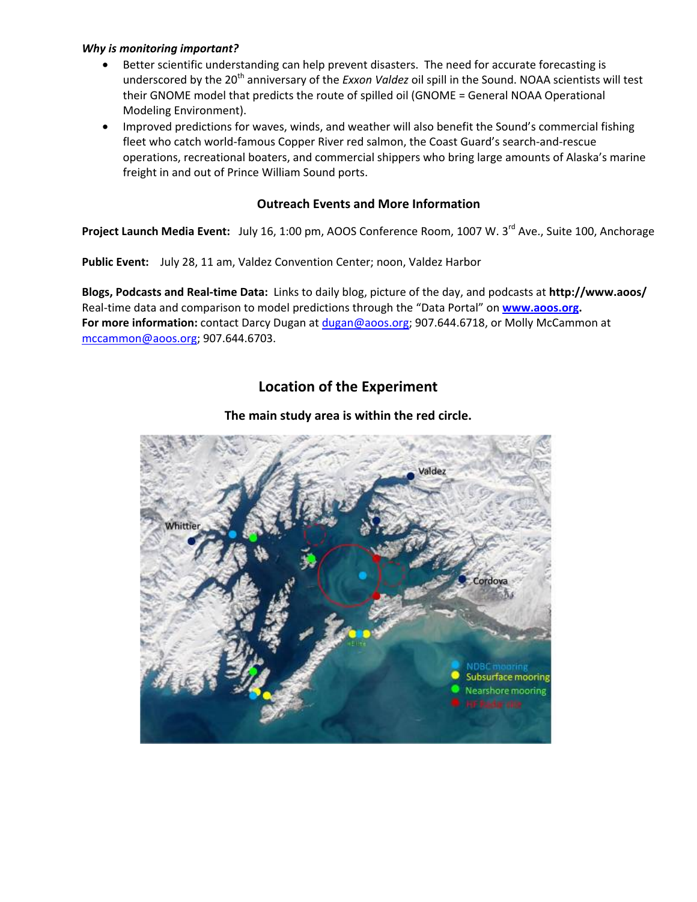#### *Why is monitoring important?*

- Better scientific understanding can help prevent disasters. The need for accurate forecasting is underscored by the 20<sup>th</sup> anniversary of the *Exxon Valdez* oil spill in the Sound. NOAA scientists will test their GNOME model that predicts the route of spilled oil (GNOME = General NOAA Operational Modeling Environment).
- Improved predictions for waves, winds, and weather will also benefit the Sound's commercial fishing fleet who catch world-famous Copper River red salmon, the Coast Guard's search-and-rescue operations, recreational boaters, and commercial shippers who bring large amounts of Alaska's marine freight in and out of Prince William Sound ports.

### **Outreach Events and More Information**

Project Launch Media Event: July 16, 1:00 pm, AOOS Conference Room, 1007 W. 3<sup>rd</sup> Ave., Suite 100, Anchorage

**Public Event:** July 28, 11 am, Valdez Convention Center; noon, Valdez Harbor

**Blogs, Podcasts and Real-time Data:** Links to daily blog, picture of the day, and podcasts at **http://www.aoos/**  Real-time data and comparison to model predictions through the "Data Portal" on **[www.aoos.org.](http://www.aoos.org/) For more information:** contact Darcy Dugan at [dugan@aoos.org](mailto:dugan@aoos.org); 907.644.6718, or Molly McCammon at [mccammon@aoos.org](mailto:mccammon@aoos.org); 907.644.6703.

## **Location of the Experiment**

### **The main study area is within the red circle.**

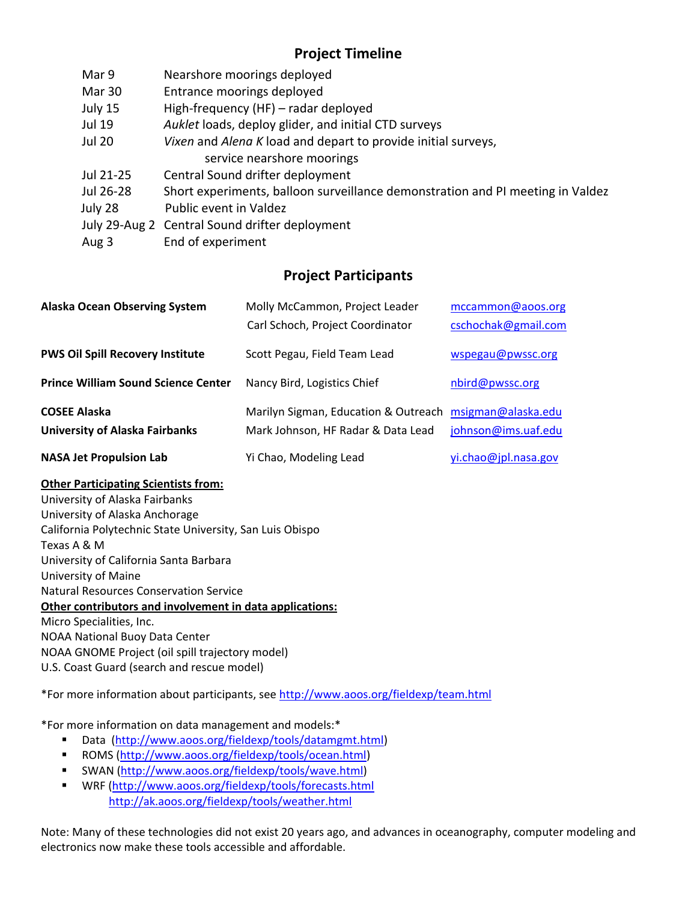# **Project Timeline**

| Mar 9         | Nearshore moorings deployed                                                    |
|---------------|--------------------------------------------------------------------------------|
| Mar 30        | Entrance moorings deployed                                                     |
| July 15       | High-frequency (HF) - radar deployed                                           |
| Jul 19        | Auklet loads, deploy glider, and initial CTD surveys                           |
| <b>Jul 20</b> | Vixen and Alena K load and depart to provide initial surveys,                  |
|               | service nearshore moorings                                                     |
| Jul 21-25     | Central Sound drifter deployment                                               |
| Jul 26-28     | Short experiments, balloon surveillance demonstration and PI meeting in Valdez |
| July 28       | Public event in Valdez                                                         |
|               | July 29-Aug 2 Central Sound drifter deployment                                 |
| Aug 3         | End of experiment                                                              |

# **Project Participants**

| <b>Alaska Ocean Observing System</b>       | Molly McCammon, Project Leader                          | mccammon@aoos.org    |
|--------------------------------------------|---------------------------------------------------------|----------------------|
|                                            | Carl Schoch, Project Coordinator                        | cschochak@gmail.com  |
| <b>PWS Oil Spill Recovery Institute</b>    | Scott Pegau, Field Team Lead                            | wspegau@pwssc.org    |
| <b>Prince William Sound Science Center</b> | Nancy Bird, Logistics Chief                             | nbird@pwssc.org      |
| <b>COSEE Alaska</b>                        | Marilyn Sigman, Education & Outreach msigman@alaska.edu |                      |
| <b>University of Alaska Fairbanks</b>      | Mark Johnson, HF Radar & Data Lead                      | johnson@ims.uaf.edu  |
| <b>NASA Jet Propulsion Lab</b>             | Yi Chao, Modeling Lead                                  | yi.chao@jpl.nasa.gov |

### **Other Participating Scientists from:**

University of Alaska Fairbanks University of Alaska Anchorage California Polytechnic State University, San Luis Obispo Texas A & M University of California Santa Barbara University of Maine Natural Resources Conservation Service **Other contributors and involvement in data applications:** Micro Specialities, Inc. NOAA National Buoy Data Center NOAA GNOME Project (oil spill trajectory model) U.S. Coast Guard (search and rescue model)

\*For more information about participants, see <http://www.aoos.org/fieldexp/team.html>

\*For more information on data management and models:\*

- Data [\(http://www.aoos.org/fieldexp/tools/datamgmt.html](http://www.aoos.org/fieldexp/tools/datamgmt.html))
- ROMS [\(http://www.aoos.org/fieldexp/tools/ocean.html](http://www.aoos.org/fieldexp/tools/ocean.html))
- SWAN [\(http://www.aoos.org/fieldexp/tools/wave.html](http://www.aoos.org/fieldexp/tools/wave.html))
- WRF (<http://www.aoos.org/fieldexp/tools/forecasts.html> <http://ak.aoos.org/fieldexp/tools/weather.html>

Note: Many of these technologies did not exist 20 years ago, and advances in oceanography, computer modeling and electronics now make these tools accessible and affordable.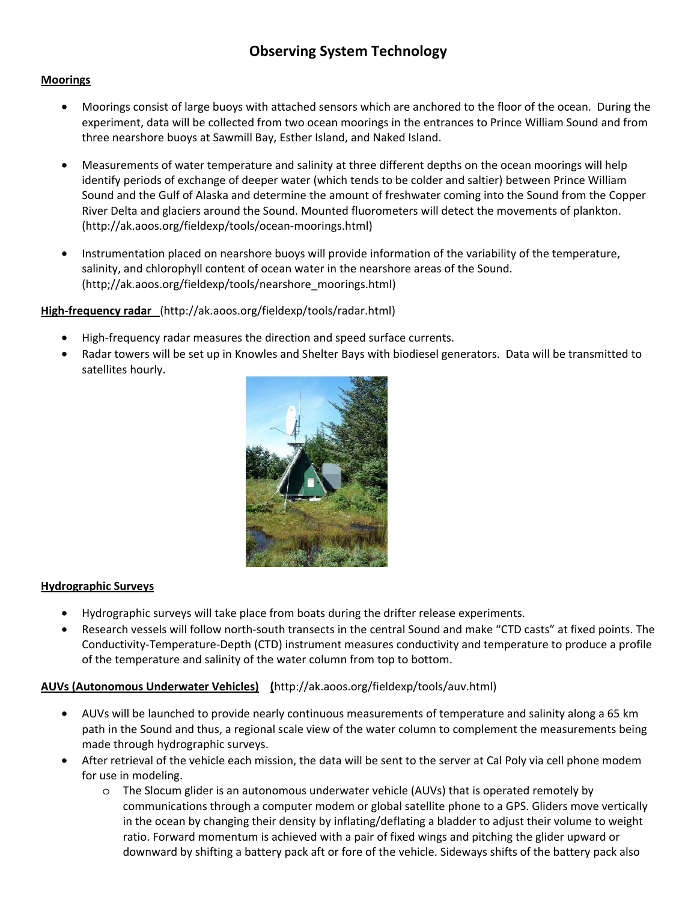# **Observing System Technology**

#### **Moorings**

- Moorings consist of large buoys with attached sensors which are anchored to the floor of the ocean. During the experiment, data will be collected from two ocean moorings in the entrances to Prince William Sound and from three nearshore buoys at Sawmill Bay, Esther Island, and Naked Island.
- Measurements of water temperature and salinity at three different depths on the ocean moorings will help identify periods of exchange of deeper water (which tends to be colder and saltier) between Prince William Sound and the Gulf of Alaska and determine the amount of freshwater coming into the Sound from the Copper River Delta and glaciers around the Sound. Mounted fluorometers will detect the movements of plankton. (http://ak.aoos.org/fieldexp/tools/ocean-moorings.html)
- Instrumentation placed on nearshore buoys will provide information of the variability of the temperature, salinity, and chlorophyll content of ocean water in the nearshore areas of the Sound. (http;//ak.aoos.org/fieldexp/tools/nearshore\_moorings.html)

#### **High-frequency radar** (http://ak.aoos.org/fieldexp/tools/radar.html)

- High-frequency radar measures the direction and speed surface currents.
- Radar towers will be set up in Knowles and Shelter Bays with biodiesel generators. Data will be transmitted to satellites hourly.



#### **Hydrographic Surveys**

- Hydrographic surveys will take place from boats during the drifter release experiments.
- Research vessels will follow north-south transects in the central Sound and make "CTD casts" at fixed points. The Conductivity-Temperature-Depth (CTD) instrument measures conductivity and temperature to produce a profile of the temperature and salinity of the water column from top to bottom.

### **AUVs (Autonomous Underwater Vehicles) (**http://ak.aoos.org/fieldexp/tools/auv.html)

- AUVs will be launched to provide nearly continuous measurements of temperature and salinity along a 65 km path in the Sound and thus, a regional scale view of the water column to complement the measurements being made through hydrographic surveys.
- After retrieval of the vehicle each mission, the data will be sent to the server at Cal Poly via cell phone modem for use in modeling.
	- o The Slocum glider is an autonomous underwater vehicle (AUVs) that is operated remotely by communications through a computer modem or global satellite phone to a GPS. Gliders move vertically in the ocean by changing their density by inflating/deflating a bladder to adjust their volume to weight ratio. Forward momentum is achieved with a pair of fixed wings and pitching the glider upward or downward by shifting a battery pack aft or fore of the vehicle. Sideways shifts of the battery pack also